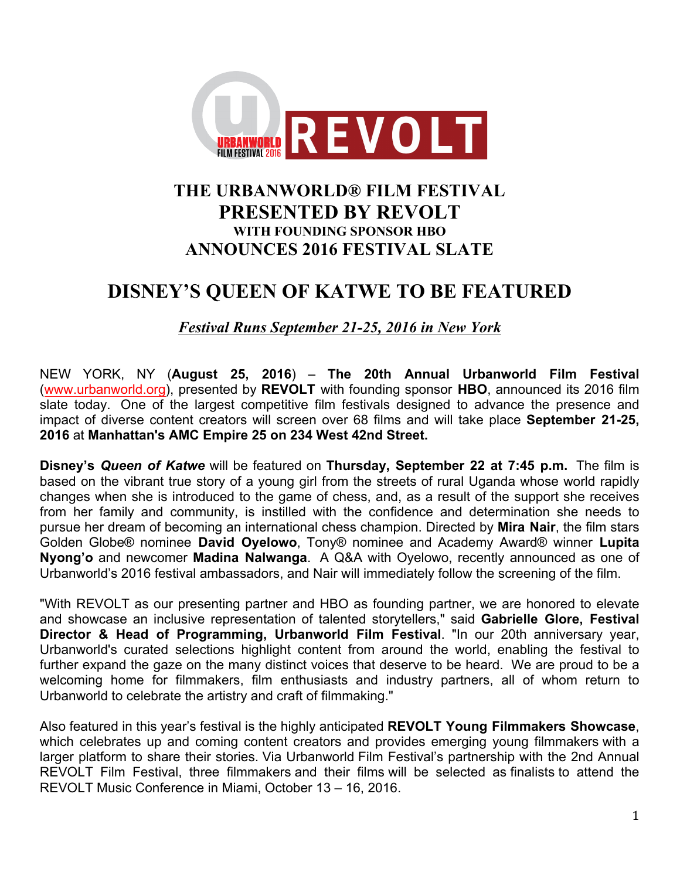

# **THE URBANWORLD® FILM FESTIVAL PRESENTED BY REVOLT WITH FOUNDING SPONSOR HBO ANNOUNCES 2016 FESTIVAL SLATE**

# **DISNEY'S QUEEN OF KATWE TO BE FEATURED**

*Festival Runs September 21-25, 2016 in New York*

NEW YORK, NY (**August 25, 2016**) – **The 20th Annual Urbanworld Film Festival** (www.urbanworld.org), presented by **REVOLT** with founding sponsor **HBO**, announced its 2016 film slate today. One of the largest competitive film festivals designed to advance the presence and impact of diverse content creators will screen over 68 films and will take place **September 21-25, 2016** at **Manhattan's AMC Empire 25 on 234 West 42nd Street.**

**Disney's** *Queen of Katwe* will be featured on **Thursday, September 22 at 7:45 p.m.** The film is based on the vibrant true story of a young girl from the streets of rural Uganda whose world rapidly changes when she is introduced to the game of chess, and, as a result of the support she receives from her family and community, is instilled with the confidence and determination she needs to pursue her dream of becoming an international chess champion. Directed by **Mira Nair**, the film stars Golden Globe® nominee **David Oyelowo**, Tony® nominee and Academy Award® winner **Lupita Nyong'o** and newcomer **Madina Nalwanga**. A Q&A with Oyelowo, recently announced as one of Urbanworld's 2016 festival ambassadors, and Nair will immediately follow the screening of the film.

"With REVOLT as our presenting partner and HBO as founding partner, we are honored to elevate and showcase an inclusive representation of talented storytellers," said **Gabrielle Glore, Festival Director & Head of Programming, Urbanworld Film Festival**. "In our 20th anniversary year, Urbanworld's curated selections highlight content from around the world, enabling the festival to further expand the gaze on the many distinct voices that deserve to be heard. We are proud to be a welcoming home for filmmakers, film enthusiasts and industry partners, all of whom return to Urbanworld to celebrate the artistry and craft of filmmaking."

Also featured in this year's festival is the highly anticipated **REVOLT Young Filmmakers Showcase**, which celebrates up and coming content creators and provides emerging young filmmakers with a larger platform to share their stories. Via Urbanworld Film Festival's partnership with the 2nd Annual REVOLT Film Festival, three filmmakers and their films will be selected as finalists to attend the REVOLT Music Conference in Miami, October 13 – 16, 2016.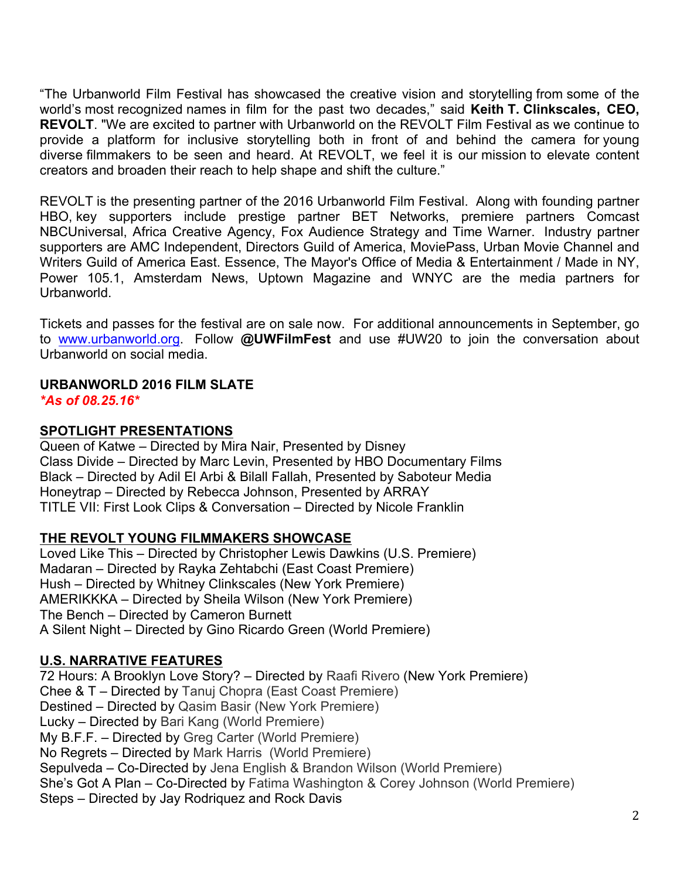"The Urbanworld Film Festival has showcased the creative vision and storytelling from some of the world's most recognized names in film for the past two decades," said **Keith T. Clinkscales, CEO, REVOLT**. "We are excited to partner with Urbanworld on the REVOLT Film Festival as we continue to provide a platform for inclusive storytelling both in front of and behind the camera for young diverse filmmakers to be seen and heard. At REVOLT, we feel it is our mission to elevate content creators and broaden their reach to help shape and shift the culture."

REVOLT is the presenting partner of the 2016 Urbanworld Film Festival. Along with founding partner HBO, key supporters include prestige partner BET Networks, premiere partners Comcast NBCUniversal, Africa Creative Agency, Fox Audience Strategy and Time Warner. Industry partner supporters are AMC Independent, Directors Guild of America, MoviePass, Urban Movie Channel and Writers Guild of America East. Essence, The Mayor's Office of Media & Entertainment / Made in NY, Power 105.1, Amsterdam News, Uptown Magazine and WNYC are the media partners for Urbanworld.

Tickets and passes for the festival are on sale now. For additional announcements in September, go to www.urbanworld.org. Follow **@UWFilmFest** and use #UW20 to join the conversation about Urbanworld on social media.

# **URBANWORLD 2016 FILM SLATE**

*\*As of 08.25.16\**

## **SPOTLIGHT PRESENTATIONS**

Queen of Katwe – Directed by Mira Nair, Presented by Disney Class Divide – Directed by Marc Levin, Presented by HBO Documentary Films Black – Directed by Adil El Arbi & Bilall Fallah, Presented by Saboteur Media Honeytrap – Directed by Rebecca Johnson, Presented by ARRAY TITLE VII: First Look Clips & Conversation – Directed by Nicole Franklin

## **THE REVOLT YOUNG FILMMAKERS SHOWCASE**

Loved Like This – Directed by Christopher Lewis Dawkins (U.S. Premiere) Madaran – Directed by Rayka Zehtabchi (East Coast Premiere) Hush – Directed by Whitney Clinkscales (New York Premiere) AMERIKKKA – Directed by Sheila Wilson (New York Premiere) The Bench – Directed by Cameron Burnett A Silent Night – Directed by Gino Ricardo Green (World Premiere)

## **U.S. NARRATIVE FEATURES**

72 Hours: A Brooklyn Love Story? – Directed by Raafi Rivero (New York Premiere) Chee & T – Directed by Tanuj Chopra (East Coast Premiere) Destined – Directed by Qasim Basir (New York Premiere) Lucky – Directed by Bari Kang (World Premiere) My B.F.F. – Directed by Greg Carter (World Premiere) No Regrets – Directed by Mark Harris (World Premiere) Sepulveda – Co-Directed by Jena English & Brandon Wilson (World Premiere) She's Got A Plan – Co-Directed by Fatima Washington & Corey Johnson (World Premiere) Steps – Directed by Jay Rodriquez and Rock Davis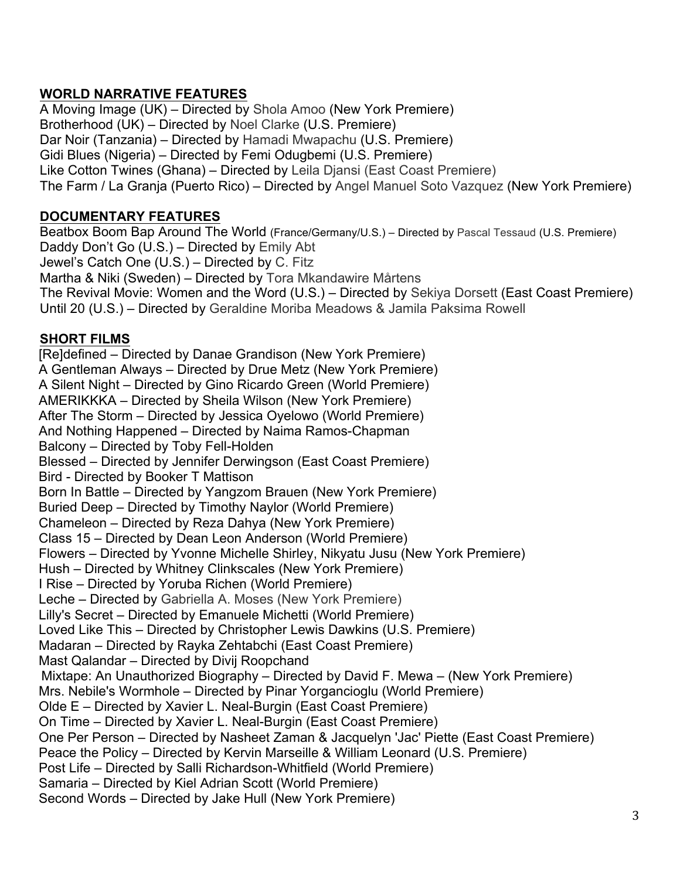## **WORLD NARRATIVE FEATURES**

A Moving Image (UK) – Directed by Shola Amoo (New York Premiere) Brotherhood (UK) – Directed by Noel Clarke (U.S. Premiere) Dar Noir (Tanzania) – Directed by Hamadi Mwapachu (U.S. Premiere) Gidi Blues (Nigeria) – Directed by Femi Odugbemi (U.S. Premiere) Like Cotton Twines (Ghana) – Directed by Leila Djansi (East Coast Premiere) The Farm / La Granja (Puerto Rico) – Directed by Angel Manuel Soto Vazquez (New York Premiere)

#### **DOCUMENTARY FEATURES**

Beatbox Boom Bap Around The World (France/Germany/U.S.) – Directed by Pascal Tessaud (U.S. Premiere) Daddy Don't Go (U.S.) – Directed by Emily Abt Jewel's Catch One (U.S.) – Directed by C. Fitz Martha & Niki (Sweden) – Directed by Tora Mkandawire Mårtens The Revival Movie: Women and the Word (U.S.) – Directed by Sekiya Dorsett (East Coast Premiere) Until 20 (U.S.) – Directed by Geraldine Moriba Meadows & Jamila Paksima Rowell

#### **SHORT FILMS**

[Re]defined – Directed by Danae Grandison (New York Premiere) A Gentleman Always – Directed by Drue Metz (New York Premiere) A Silent Night – Directed by Gino Ricardo Green (World Premiere) AMERIKKKA – Directed by Sheila Wilson (New York Premiere) After The Storm – Directed by Jessica Oyelowo (World Premiere) And Nothing Happened – Directed by Naima Ramos-Chapman Balcony – Directed by Toby Fell-Holden Blessed – Directed by Jennifer Derwingson (East Coast Premiere) Bird - Directed by Booker T Mattison Born In Battle – Directed by Yangzom Brauen (New York Premiere) Buried Deep – Directed by Timothy Naylor (World Premiere) Chameleon – Directed by Reza Dahya (New York Premiere) Class 15 – Directed by Dean Leon Anderson (World Premiere) Flowers – Directed by Yvonne Michelle Shirley, Nikyatu Jusu (New York Premiere) Hush – Directed by Whitney Clinkscales (New York Premiere) I Rise – Directed by Yoruba Richen (World Premiere) Leche – Directed by Gabriella A. Moses (New York Premiere) Lilly's Secret – Directed by Emanuele Michetti (World Premiere) Loved Like This – Directed by Christopher Lewis Dawkins (U.S. Premiere) Madaran – Directed by Rayka Zehtabchi (East Coast Premiere) Mast Qalandar – Directed by Divij Roopchand Mixtape: An Unauthorized Biography – Directed by David F. Mewa – (New York Premiere) Mrs. Nebile's Wormhole – Directed by Pinar Yorgancioglu (World Premiere) Olde E – Directed by Xavier L. Neal-Burgin (East Coast Premiere) On Time – Directed by Xavier L. Neal-Burgin (East Coast Premiere) One Per Person – Directed by Nasheet Zaman & Jacquelyn 'Jac' Piette (East Coast Premiere) Peace the Policy – Directed by Kervin Marseille & William Leonard (U.S. Premiere) Post Life – Directed by Salli Richardson-Whitfield (World Premiere) Samaria – Directed by Kiel Adrian Scott (World Premiere) Second Words – Directed by Jake Hull (New York Premiere)